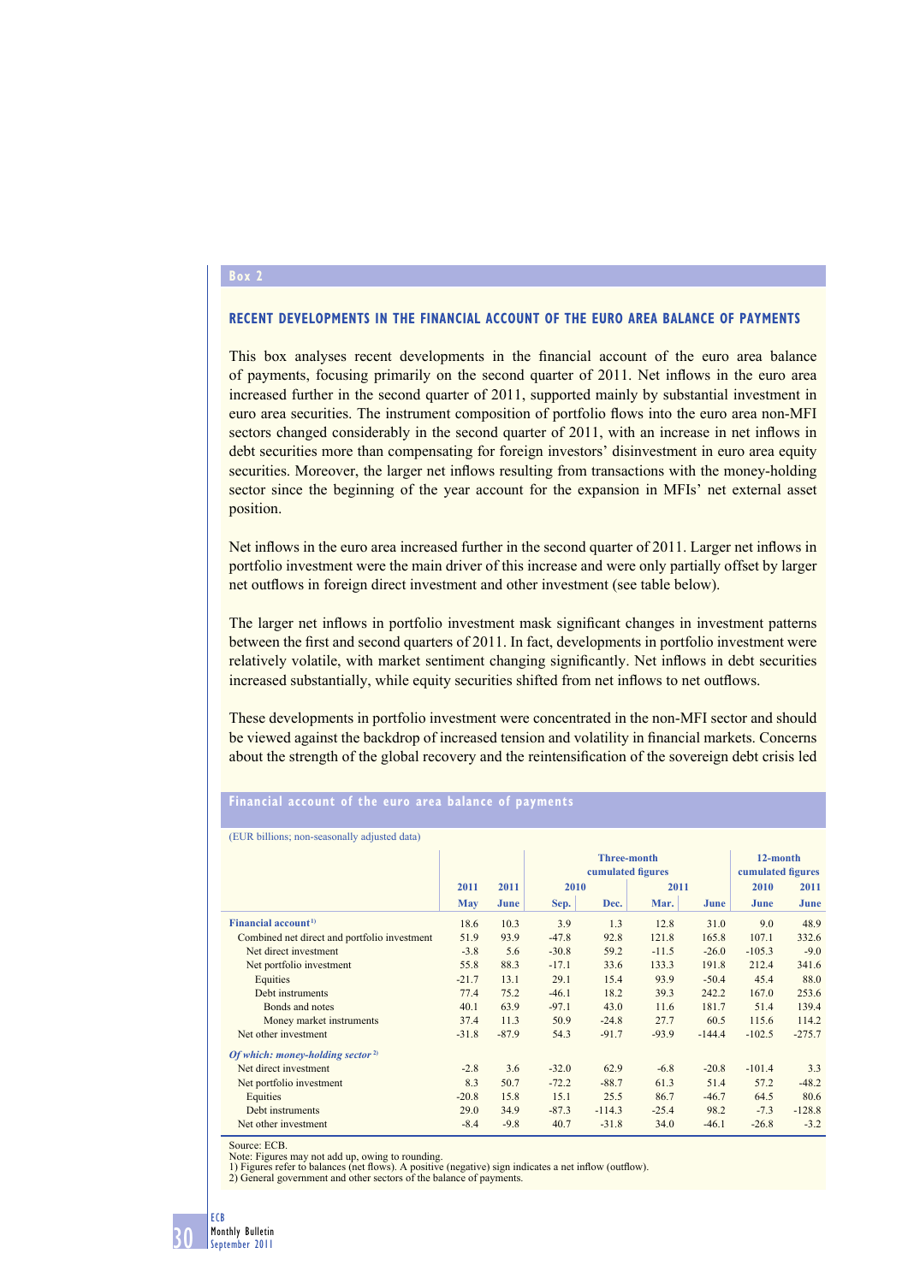## **Box 2**

## **RECENT DEVELOPMENTS IN THE FINANCIAL ACCOUNT OF THE EURO AREA BALANCE OF PAYMENTS**

This box analyses recent developments in the financial account of the euro area balance of payments, focusing primarily on the second quarter of 2011. Net inflows in the euro area increased further in the second quarter of 2011, supported mainly by substantial investment in euro area securities. The instrument composition of portfolio flows into the euro area non-MFI sectors changed considerably in the second quarter of 2011, with an increase in net inflows in debt securities more than compensating for foreign investors' disinvestment in euro area equity securities. Moreover, the larger net inflows resulting from transactions with the money-holding sector since the beginning of the year account for the expansion in MFIs' net external asset position.

Net inflows in the euro area increased further in the second quarter of 2011. Larger net inflows in portfolio investment were the main driver of this increase and were only partially offset by larger net outflows in foreign direct investment and other investment (see table below).

The larger net inflows in portfolio investment mask significant changes in investment patterns between the first and second quarters of 2011. In fact, developments in portfolio investment were relatively volatile, with market sentiment changing significantly. Net inflows in debt securities increased substantially, while equity securities shifted from net inflows to net outflows.

These developments in portfolio investment were concentrated in the non-MFI sector and should be viewed against the backdrop of increased tension and volatility in financial markets. Concerns about the strength of the global recovery and the reintensification of the sovereign debt crisis led

## **Financial account of the euro area balance of payments**

(EUR billions; non-seasonally adjusted data)

| $\mu$ of $\sigma$ and $\sigma$ and $\sigma$ and $\sigma$ and $\sigma$ and $\sigma$ and $\sigma$ and $\sigma$ and $\sigma$ |              |         |                                         |          |         |          |                               |          |
|---------------------------------------------------------------------------------------------------------------------------|--------------|---------|-----------------------------------------|----------|---------|----------|-------------------------------|----------|
|                                                                                                                           |              |         | <b>Three-month</b><br>cumulated figures |          |         |          | 12-month<br>cumulated figures |          |
|                                                                                                                           |              |         |                                         |          |         |          |                               |          |
|                                                                                                                           | 2011<br>2011 |         |                                         | 2010     |         | 2011     |                               | 2011     |
|                                                                                                                           | <b>May</b>   | June    | Sep.                                    | Dec.     | Mar.    | June     | June                          | June     |
| Financial account <sup>1)</sup>                                                                                           | 18.6         | 10.3    | 3.9                                     | 1.3      | 12.8    | 31.0     | 9.0                           | 48.9     |
| Combined net direct and portfolio investment                                                                              | 51.9         | 93.9    | $-47.8$                                 | 92.8     | 121.8   | 165.8    | 107.1                         | 332.6    |
| Net direct investment                                                                                                     | $-3.8$       | 5.6     | $-30.8$                                 | 59.2     | $-11.5$ | $-26.0$  | $-105.3$                      | $-9.0$   |
| Net portfolio investment                                                                                                  | 55.8         | 88.3    | $-17.1$                                 | 33.6     | 133.3   | 191.8    | 212.4                         | 341.6    |
| Equities                                                                                                                  | $-21.7$      | 13.1    | 29.1                                    | 15.4     | 93.9    | $-50.4$  | 45.4                          | 88.0     |
| Debt instruments                                                                                                          | 77.4         | 75.2    | $-46.1$                                 | 18.2     | 39.3    | 242.2    | 167.0                         | 253.6    |
| Bonds and notes                                                                                                           | 40.1         | 63.9    | $-97.1$                                 | 43.0     | 11.6    | 181.7    | 51.4                          | 139.4    |
| Money market instruments                                                                                                  | 37.4         | 11.3    | 50.9                                    | $-24.8$  | 27.7    | 60.5     | 115.6                         | 114.2    |
| Net other investment                                                                                                      | $-31.8$      | $-87.9$ | 54.3                                    | $-91.7$  | $-93.9$ | $-144.4$ | $-102.5$                      | $-275.7$ |
| Of which: money-holding sector <sup>2)</sup>                                                                              |              |         |                                         |          |         |          |                               |          |
| Net direct investment                                                                                                     | $-2.8$       | 3.6     | $-32.0$                                 | 62.9     | $-6.8$  | $-20.8$  | $-101.4$                      | 3.3      |
| Net portfolio investment                                                                                                  | 8.3          | 50.7    | $-72.2$                                 | $-88.7$  | 61.3    | 51.4     | 57.2                          | $-48.2$  |
| Equities                                                                                                                  | $-20.8$      | 15.8    | 15.1                                    | 25.5     | 86.7    | $-46.7$  | 64.5                          | 80.6     |
| Debt instruments                                                                                                          | 29.0         | 34.9    | $-87.3$                                 | $-114.3$ | $-25.4$ | 98.2     | $-7.3$                        | $-128.8$ |
| Net other investment                                                                                                      | $-8.4$       | $-9.8$  | 40.7                                    | $-31.8$  | 34.0    | $-46.1$  | $-26.8$                       | $-3.2$   |

Source: ECB.

Note: Figures may not add up, owing to rounding.

1) Figures refer to balances (net flows). A positive (negative) sign indicates a net inflow (outflow)

2) General government and other sectors of the balance of payments.

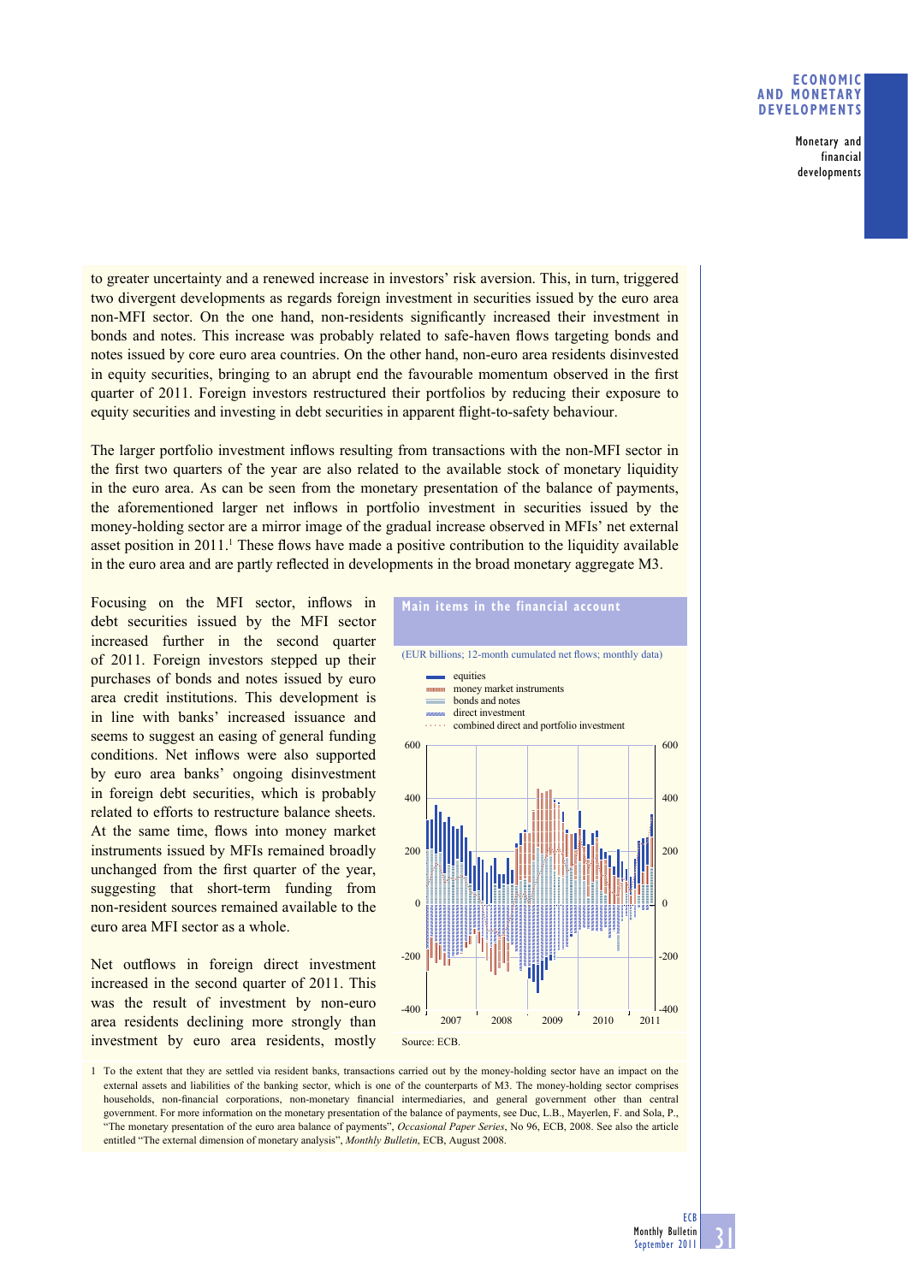## **ECONOMIC AND MONETARY DEVELOPMENTS**

**Monetary and financial developments**

to greater uncertainty and a renewed increase in investors' risk aversion. This, in turn, triggered two divergent developments as regards foreign investment in securities issued by the euro area non-MFI sector. On the one hand, non-residents significantly increased their investment in bonds and notes. This increase was probably related to safe-haven flows targeting bonds and notes issued by core euro area countries. On the other hand, non-euro area residents disinvested in equity securities, bringing to an abrupt end the favourable momentum observed in the first quarter of 2011. Foreign investors restructured their portfolios by reducing their exposure to equity securities and investing in debt securities in apparent flight-to-safety behaviour.

The larger portfolio investment inflows resulting from transactions with the non-MFI sector in the first two quarters of the year are also related to the available stock of monetary liquidity in the euro area. As can be seen from the monetary presentation of the balance of payments, the aforementioned larger net inflows in portfolio investment in securities issued by the money-holding sector are a mirror image of the gradual increase observed in MFIs' net external asset position in 2011.<sup>1</sup> These flows have made a positive contribution to the liquidity available in the euro area and are partly reflected in developments in the broad monetary aggregate M3.

Focusing on the MFI sector, inflows in debt securities issued by the MFI sector increased further in the second quarter of 2011. Foreign investors stepped up their purchases of bonds and notes issued by euro area credit institutions. This development is in line with banks' increased issuance and seems to suggest an easing of general funding conditions. Net inflows were also supported by euro area banks' ongoing disinvestment in foreign debt securities, which is probably related to efforts to restructure balance sheets. At the same time, flows into money market instruments issued by MFIs remained broadly unchanged from the first quarter of the year, suggesting that short-term funding from non-resident sources remained available to the euro area MFI sector as a whole.

Net outflows in foreign direct investment increased in the second quarter of 2011. This was the result of investment by non-euro area residents declining more strongly than investment by euro area residents, mostly



1 To the extent that they are settled via resident banks, transactions carried out by the money-holding sector have an impact on the external assets and liabilities of the banking sector, which is one of the counterparts of M3. The money-holding sector comprises households, non-financial corporations, non-monetary financial intermediaries, and general government other than central government. For more information on the monetary presentation of the balance of payments, see Duc, L.B., Mayerlen, F. and Sola, P., "The monetary presentation of the euro area balance of payments", *Occasional Paper Series*, No 96, ECB, 2008. See also the article entitled "The external dimension of monetary analysis", *Monthly Bulletin*, ECB, August 2008.